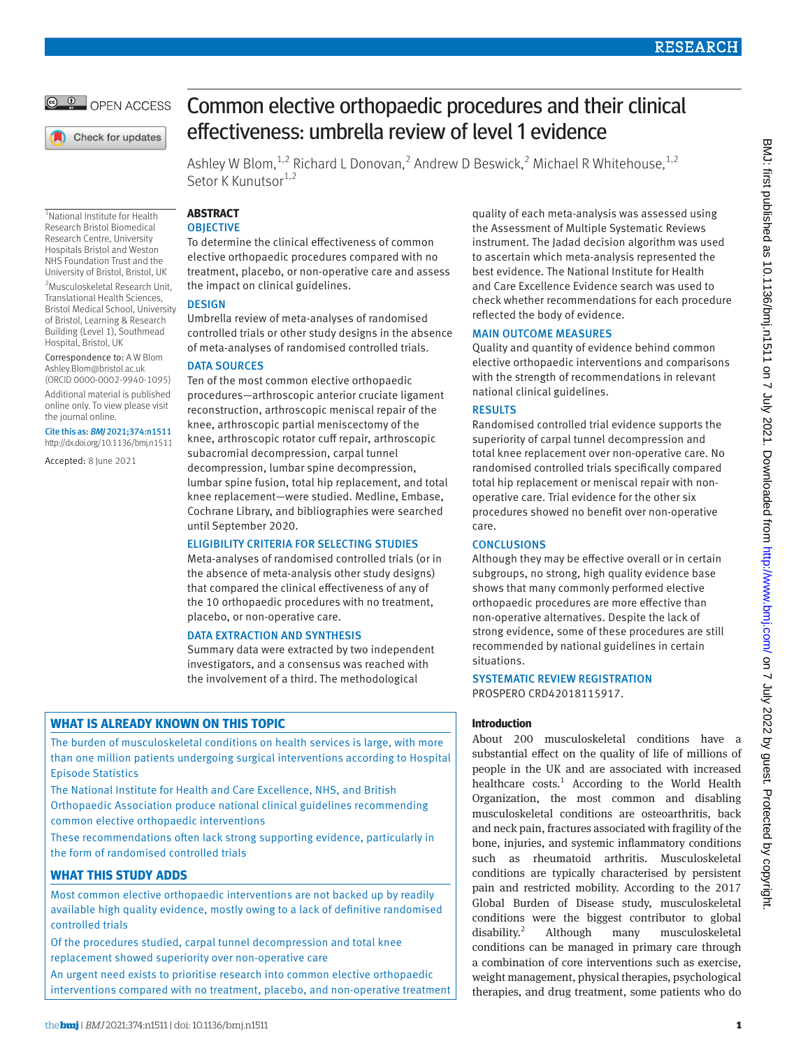

Check for updates

1 National Institute for Health Research Bristol Biomedical Research Centre, University Hospitals Bristol and Weston NHS Foundation Trust and the University of Bristol, Bristol, UK 2 Musculoskeletal Research Unit, Translational Health Sciences, Bristol Medical School, University of Bristol, Learning & Research Building (Level 1), Southmead Hospital, Bristol, UK Correspondence to: A W Blom [Ashley.Blom@bristol.ac.uk](mailto:Ashley.Blom@bristol.ac.uk) (ORCID [0000-0002-9940-1095](https://orcid.org/0000-0002-9940-1095)) Additional material is published online only. To view please visit

the journal online.

Cite this as: *BMJ* 2021;374:n1511 http://dx.doi.org/10.1136/bmj.n1511 Accepted: 8 June 2021

# Common elective orthopaedic procedures and their clinical effectiveness: umbrella review of level 1 evidence

Ashley W Blom,<sup>1,2</sup> Richard L Donovan,<sup>2</sup> Andrew D Beswick,<sup>2</sup> Michael R Whitehouse,<sup>1,2</sup> Setor K Kunutsor<sup>1,2</sup>

## **ABSTRACT**

## **OBJECTIVE**

To determine the clinical effectiveness of common elective orthopaedic procedures compared with no treatment, placebo, or non-operative care and assess the impact on clinical guidelines.

## **DESIGN**

Umbrella review of meta-analyses of randomised controlled trials or other study designs in the absence of meta-analyses of randomised controlled trials.

## DATA SOURCES

Ten of the most common elective orthopaedic procedures—arthroscopic anterior cruciate ligament reconstruction, arthroscopic meniscal repair of the knee, arthroscopic partial meniscectomy of the knee, arthroscopic rotator cuff repair, arthroscopic subacromial decompression, carpal tunnel decompression, lumbar spine decompression, lumbar spine fusion, total hip replacement, and total knee replacement—were studied. Medline, Embase, Cochrane Library, and bibliographies were searched until September 2020.

## ELIGIBILITY CRITERIA FOR SELECTING STUDIES

Meta-analyses of randomised controlled trials (or in the absence of meta-analysis other study designs) that compared the clinical effectiveness of any of the 10 orthopaedic procedures with no treatment, placebo, or non-operative care.

## DATA EXTRACTION AND SYNTHESIS

Summary data were extracted by two independent investigators, and a consensus was reached with the involvement of a third. The methodological

## **WHAT IS ALREADY KNOWN ON THIS TOPIC**

The burden of musculoskeletal conditions on health services is large, with more than one million patients undergoing surgical interventions according to Hospital Episode Statistics

The National Institute for Health and Care Excellence, NHS, and British Orthopaedic Association produce national clinical guidelines recommending common elective orthopaedic interventions

These recommendations often lack strong supporting evidence, particularly in the form of randomised controlled trials

## **WHAT THIS STUDY ADDS**

Most common elective orthopaedic interventions are not backed up by readily available high quality evidence, mostly owing to a lack of definitive randomised controlled trials

Of the procedures studied, carpal tunnel decompression and total knee replacement showed superiority over non-operative care

An urgent need exists to prioritise research into common elective orthopaedic interventions compared with no treatment, placebo, and non-operative treatment quality of each meta-analysis was assessed using the Assessment of Multiple Systematic Reviews instrument. The Jadad decision algorithm was used to ascertain which meta-analysis represented the best evidence. The National Institute for Health and Care Excellence Evidence search was used to check whether recommendations for each procedure reflected the body of evidence.

## MAIN OUTCOME MEASURES

Quality and quantity of evidence behind common elective orthopaedic interventions and comparisons with the strength of recommendations in relevant national clinical guidelines.

## RESULTS

Randomised controlled trial evidence supports the superiority of carpal tunnel decompression and total knee replacement over non-operative care. No randomised controlled trials specifically compared total hip replacement or meniscal repair with nonoperative care. Trial evidence for the other six procedures showed no benefit over non-operative care.

## **CONCLUSIONS**

Although they may be effective overall or in certain subgroups, no strong, high quality evidence base shows that many commonly performed elective orthopaedic procedures are more effective than non-operative alternatives. Despite the lack of strong evidence, some of these procedures are still recommended by national guidelines in certain situations.

SYSTEMATIC REVIEW REGISTRATION PROSPERO CRD42018115917.

## **Introduction**

About 200 musculoskeletal conditions have a substantial effect on the quality of life of millions of people in the UK and are associated with increased healthcare costs.<sup>1</sup> According to the World Health Organization, the most common and disabling musculoskeletal conditions are osteoarthritis, back and neck pain, fractures associated with fragility of the bone, injuries, and systemic inflammatory conditions such as rheumatoid arthritis. Musculoskeletal conditions are typically characterised by persistent pain and restricted mobility. According to the 2017 Global Burden of Disease study, musculoskeletal conditions were the biggest contributor to global disability. $2$  Although many musculoskeletal conditions can be managed in primary care through a combination of core interventions such as exercise, weight management, physical therapies, psychological therapies, and drug treatment, some patients who do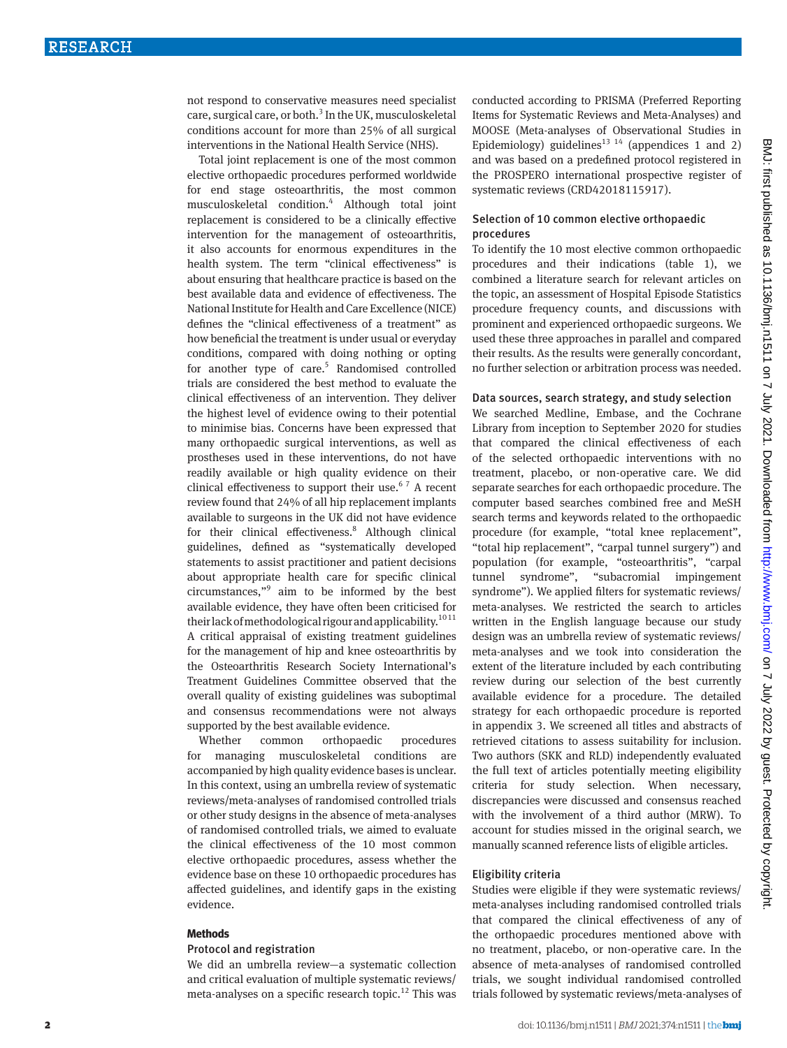not respond to conservative measures need specialist care, surgical care, or both.<sup>3</sup> In the UK, musculoskeletal conditions account for more than 25% of all surgical interventions in the National Health Service (NHS).

Total joint replacement is one of the most common elective orthopaedic procedures performed worldwide for end stage osteoarthritis, the most common musculoskeletal condition.4 Although total joint replacement is considered to be a clinically effective intervention for the management of osteoarthritis, it also accounts for enormous expenditures in the health system. The term "clinical effectiveness" is about ensuring that healthcare practice is based on the best available data and evidence of effectiveness. The National Institute for Health and Care Excellence (NICE) defines the "clinical effectiveness of a treatment" as how beneficial the treatment is under usual or everyday conditions, compared with doing nothing or opting for another type of care.<sup>5</sup> Randomised controlled trials are considered the best method to evaluate the clinical effectiveness of an intervention. They deliver the highest level of evidence owing to their potential to minimise bias. Concerns have been expressed that many orthopaedic surgical interventions, as well as prostheses used in these interventions, do not have readily available or high quality evidence on their clinical effectiveness to support their use.<sup>67</sup> A recent review found that 24% of all hip replacement implants available to surgeons in the UK did not have evidence for their clinical effectiveness.<sup>8</sup> Although clinical guidelines, defined as "systematically developed statements to assist practitioner and patient decisions about appropriate health care for specific clinical circumstances,"9 aim to be informed by the best available evidence, they have often been criticised for their lack of methodological rigour and applicability.<sup>1011</sup> A critical appraisal of existing treatment guidelines for the management of hip and knee osteoarthritis by the Osteoarthritis Research Society International's Treatment Guidelines Committee observed that the overall quality of existing guidelines was suboptimal and consensus recommendations were not always supported by the best available evidence.

Whether common orthopaedic procedures for managing musculoskeletal conditions are accompanied by high quality evidence bases is unclear. In this context, using an umbrella review of systematic reviews/meta-analyses of randomised controlled trials or other study designs in the absence of meta-analyses of randomised controlled trials, we aimed to evaluate the clinical effectiveness of the 10 most common elective orthopaedic procedures, assess whether the evidence base on these 10 orthopaedic procedures has affected guidelines, and identify gaps in the existing evidence.

#### **Methods**

#### Protocol and registration

We did an umbrella review—a systematic collection and critical evaluation of multiple systematic reviews/ meta-analyses on a specific research topic.<sup>12</sup> This was conducted according to PRISMA (Preferred Reporting Items for Systematic Reviews and Meta-Analyses) and MOOSE (Meta-analyses of Observational Studies in Epidemiology) guidelines<sup>13</sup> <sup>14</sup> (appendices 1 and 2) and was based on a predefined protocol registered in the PROSPERO international prospective register of systematic reviews (CRD42018115917).

#### Selection of 10 common elective orthopaedic procedures

To identify the 10 most elective common orthopaedic procedures and their indications (table 1), we combined a literature search for relevant articles on the topic, an assessment of Hospital Episode Statistics procedure frequency counts, and discussions with prominent and experienced orthopaedic surgeons. We used these three approaches in parallel and compared their results. As the results were generally concordant, no further selection or arbitration process was needed.

#### Data sources, search strategy, and study selection

We searched Medline, Embase, and the Cochrane Library from inception to September 2020 for studies that compared the clinical effectiveness of each of the selected orthopaedic interventions with no treatment, placebo, or non-operative care. We did separate searches for each orthopaedic procedure. The computer based searches combined free and MeSH search terms and keywords related to the orthopaedic procedure (for example, "total knee replacement", "total hip replacement", "carpal tunnel surgery") and population (for example, "osteoarthritis", "carpal tunnel syndrome", "subacromial impingement syndrome"). We applied filters for systematic reviews/ meta-analyses. We restricted the search to articles written in the English language because our study design was an umbrella review of systematic reviews/ meta-analyses and we took into consideration the extent of the literature included by each contributing review during our selection of the best currently available evidence for a procedure. The detailed strategy for each orthopaedic procedure is reported in appendix 3. We screened all titles and abstracts of retrieved citations to assess suitability for inclusion. Two authors (SKK and RLD) independently evaluated the full text of articles potentially meeting eligibility criteria for study selection. When necessary, discrepancies were discussed and consensus reached with the involvement of a third author (MRW). To account for studies missed in the original search, we manually scanned reference lists of eligible articles.

#### Eligibility criteria

Studies were eligible if they were systematic reviews/ meta-analyses including randomised controlled trials that compared the clinical effectiveness of any of the orthopaedic procedures mentioned above with no treatment, placebo, or non-operative care. In the absence of meta-analyses of randomised controlled trials, we sought individual randomised controlled trials followed by systematic reviews/meta-analyses of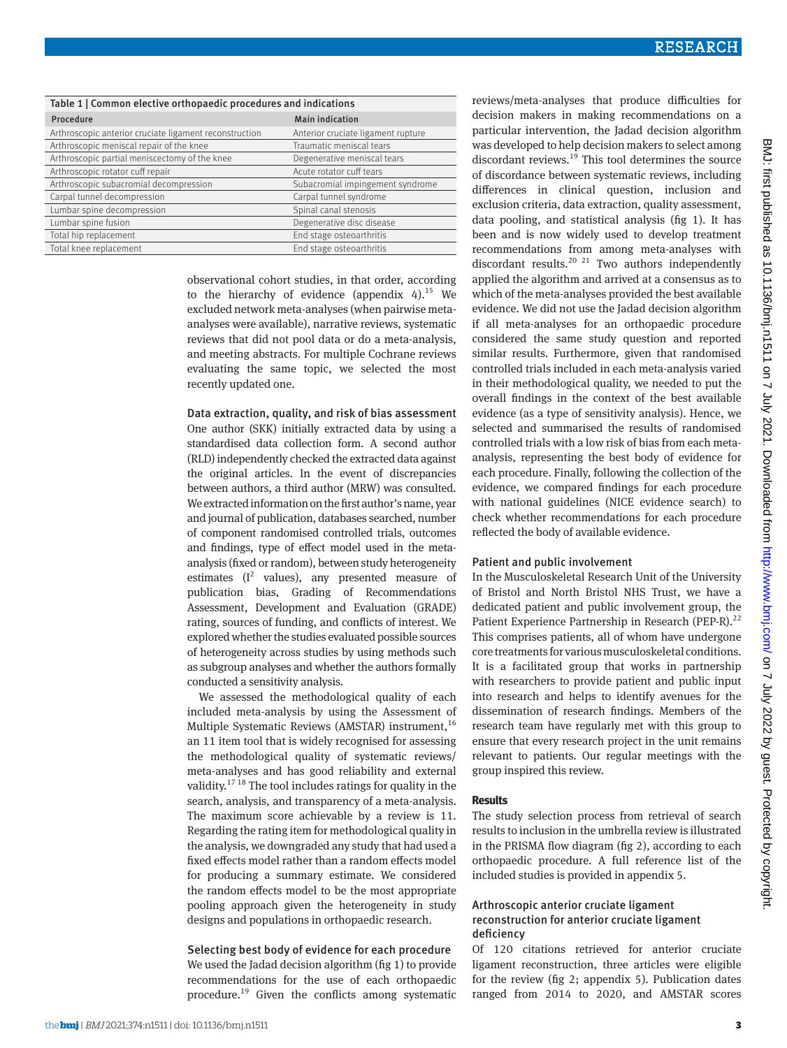| Table 1   Common elective orthopaedic procedures and indications |                                    |  |  |  |  |  |  |
|------------------------------------------------------------------|------------------------------------|--|--|--|--|--|--|
| Procedure                                                        | <b>Main indication</b>             |  |  |  |  |  |  |
| Arthroscopic anterior cruciate ligament reconstruction           | Anterior cruciate ligament rupture |  |  |  |  |  |  |
| Arthroscopic meniscal repair of the knee                         | Traumatic meniscal tears           |  |  |  |  |  |  |
| Arthroscopic partial meniscectomy of the knee                    | Degenerative meniscal tears        |  |  |  |  |  |  |
| Arthroscopic rotator cuff repair                                 | Acute rotator cuff tears           |  |  |  |  |  |  |
| Arthroscopic subacromial decompression                           | Subacromial impingement syndrome   |  |  |  |  |  |  |
| Carpal tunnel decompression                                      | Carpal tunnel syndrome             |  |  |  |  |  |  |
| Lumbar spine decompression                                       | Spinal canal stenosis              |  |  |  |  |  |  |
| Lumbar spine fusion                                              | Degenerative disc disease          |  |  |  |  |  |  |
| Total hip replacement                                            | End stage osteoarthritis           |  |  |  |  |  |  |
| Total knee replacement                                           | End stage osteoarthritis           |  |  |  |  |  |  |

observational cohort studies, in that order, according to the hierarchy of evidence (appendix  $4$ ).<sup>15</sup> We excluded network meta-analyses (when pairwise metaanalyses were available), narrative reviews, systematic reviews that did not pool data or do a meta-analysis, and meeting abstracts. For multiple Cochrane reviews evaluating the same topic, we selected the most recently updated one.

#### Data extraction, quality, and risk of bias assessment

One author (SKK) initially extracted data by using a standardised data collection form. A second author (RLD) independently checked the extracted data against the original articles. In the event of discrepancies between authors, a third author (MRW) was consulted. We extracted information on the first author's name, year and journal of publication, databases searched, number of component randomised controlled trials, outcomes and findings, type of effect model used in the metaanalysis (fixed or random), between study heterogeneity estimates  $(I^2$  values), any presented measure of publication bias, Grading of Recommendations Assessment, Development and Evaluation (GRADE) rating, sources of funding, and conflicts of interest. We explored whether the studies evaluated possible sources of heterogeneity across studies by using methods such as subgroup analyses and whether the authors formally conducted a sensitivity analysis.

We assessed the methodological quality of each included meta-analysis by using the Assessment of Multiple Systematic Reviews (AMSTAR) instrument,<sup>16</sup> an 11 item tool that is widely recognised for assessing the methodological quality of systematic reviews/ meta-analyses and has good reliability and external validity.17 18 The tool includes ratings for quality in the search, analysis, and transparency of a meta-analysis. The maximum score achievable by a review is 11. Regarding the rating item for methodological quality in the analysis, we downgraded any study that had used a fixed effects model rather than a random effects model for producing a summary estimate. We considered the random effects model to be the most appropriate pooling approach given the heterogeneity in study designs and populations in orthopaedic research.

## Selecting best body of evidence for each procedure We used the Jadad decision algorithm (fig 1) to provide recommendations for the use of each orthopaedic procedure.19 Given the conflicts among systematic

reviews/meta-analyses that produce difficulties for decision makers in making recommendations on a particular intervention, the Jadad decision algorithm was developed to help decision makers to select among discordant reviews.<sup>19</sup> This tool determines the source of discordance between systematic reviews, including differences in clinical question, inclusion and exclusion criteria, data extraction, quality assessment, data pooling, and statistical analysis (fig 1). It has been and is now widely used to develop treatment recommendations from among meta-analyses with discordant results.<sup>20 21</sup> Two authors independently applied the algorithm and arrived at a consensus as to which of the meta-analyses provided the best available evidence. We did not use the Jadad decision algorithm if all meta-analyses for an orthopaedic procedure considered the same study question and reported similar results. Furthermore, given that randomised controlled trials included in each meta-analysis varied in their methodological quality, we needed to put the overall findings in the context of the best available evidence (as a type of sensitivity analysis). Hence, we selected and summarised the results of randomised controlled trials with a low risk of bias from each metaanalysis, representing the best body of evidence for each procedure. Finally, following the collection of the evidence, we compared findings for each procedure with national guidelines (NICE evidence search) to check whether recommendations for each procedure reflected the body of available evidence.

#### Patient and public involvement

In the Musculoskeletal Research Unit of the University of Bristol and North Bristol NHS Trust, we have a dedicated patient and public involvement group, the Patient Experience Partnership in Research (PEP-R).<sup>22</sup> This comprises patients, all of whom have undergone core treatments for various musculoskeletal conditions. It is a facilitated group that works in partnership with researchers to provide patient and public input into research and helps to identify avenues for the dissemination of research findings. Members of the research team have regularly met with this group to ensure that every research project in the unit remains relevant to patients. Our regular meetings with the group inspired this review.

#### **Results**

The study selection process from retrieval of search results to inclusion in the umbrella review is illustrated in the PRISMA flow diagram (fig 2), according to each orthopaedic procedure. A full reference list of the included studies is provided in appendix 5.

## Arthroscopic anterior cruciate ligament reconstruction for anterior cruciate ligament deficiency

Of 120 citations retrieved for anterior cruciate ligament reconstruction, three articles were eligible for the review (fig 2; appendix 5). Publication dates ranged from 2014 to 2020, and AMSTAR scores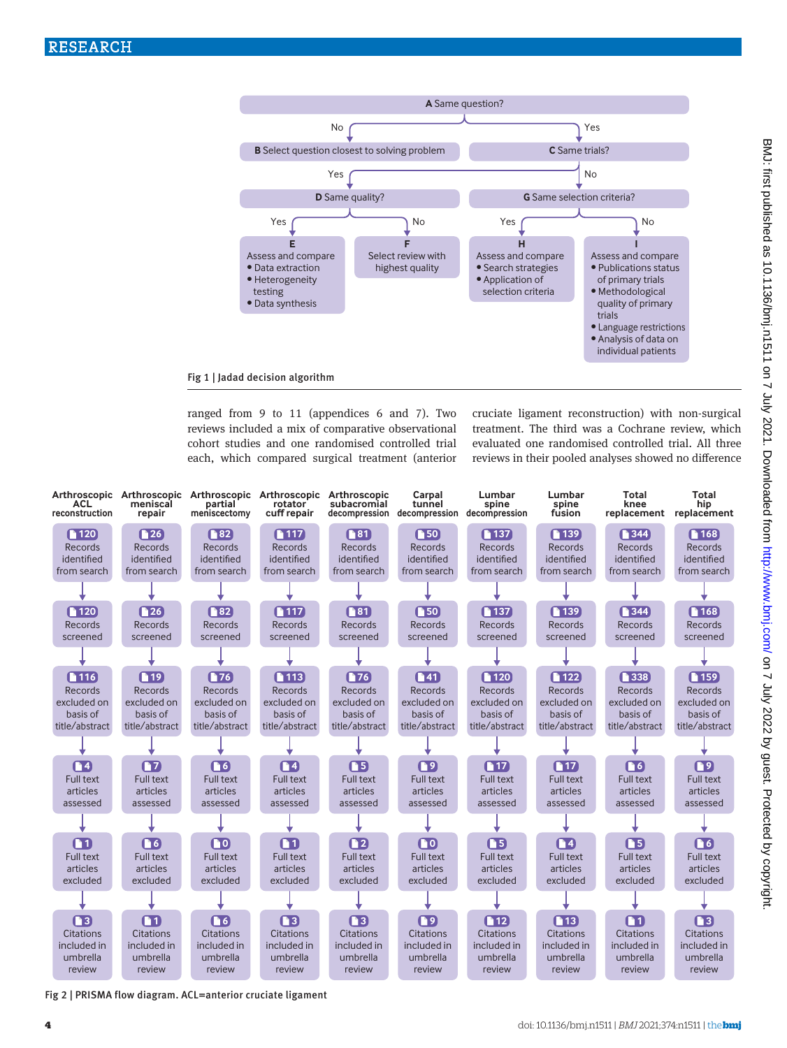

ranged from 9 to 11 (appendices 6 and 7). Two reviews included a mix of comparative observational cohort studies and one randomised controlled trial each, which compared surgical treatment (anterior

cruciate ligament reconstruction) with non-surgical treatment. The third was a Cochrane review, which evaluated one randomised controlled trial. All three reviews in their pooled analyses showed no difference



Fig 2 | PRISMA flow diagram. ACL=anterior cruciate ligament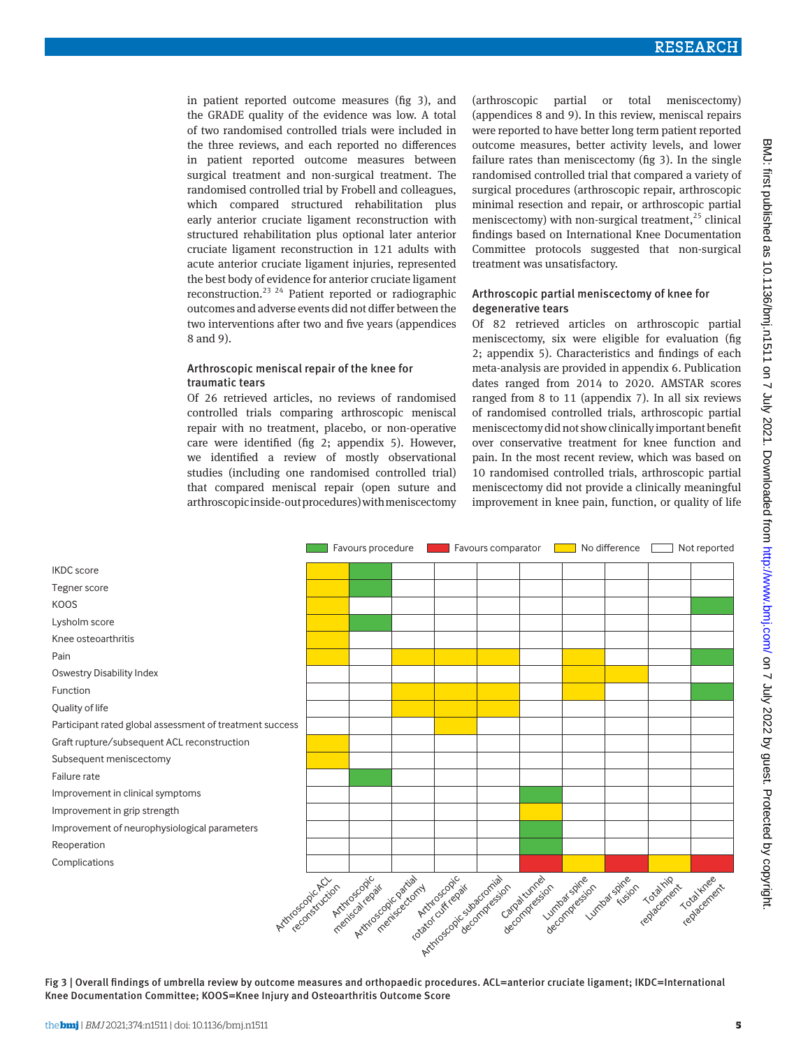in patient reported outcome measures (fig 3), and the GRADE quality of the evidence was low. A total of two randomised controlled trials were included in the three reviews, and each reported no differences in patient reported outcome measures between surgical treatment and non-surgical treatment. The randomised controlled trial by Frobell and colleagues, which compared structured rehabilitation plus early anterior cruciate ligament reconstruction with structured rehabilitation plus optional later anterior cruciate ligament reconstruction in 121 adults with acute anterior cruciate ligament injuries, represented the best body of evidence for anterior cruciate ligament reconstruction.23 24 Patient reported or radiographic outcomes and adverse events did not differ between the two interventions after two and five years (appendices 8 and 9).

#### Arthroscopic meniscal repair of the knee for traumatic tears

Of 26 retrieved articles, no reviews of randomised controlled trials comparing arthroscopic meniscal repair with no treatment, placebo, or non-operative care were identified (fig 2; appendix 5). However, we identified a review of mostly observational studies (including one randomised controlled trial) that compared meniscal repair (open suture and arthroscopic inside-out procedures) with meniscectomy (arthroscopic partial or total meniscectomy) (appendices 8 and 9). In this review, meniscal repairs were reported to have better long term patient reported outcome measures, better activity levels, and lower failure rates than meniscectomy (fig 3). In the single randomised controlled trial that compared a variety of surgical procedures (arthroscopic repair, arthroscopic minimal resection and repair, or arthroscopic partial meniscectomy) with non-surgical treatment,  $25$  clinical findings based on International Knee Documentation Committee protocols suggested that non-surgical treatment was unsatisfactory.

## Arthroscopic partial meniscectomy of knee for degenerative tears

Of 82 retrieved articles on arthroscopic partial meniscectomy, six were eligible for evaluation (fig 2; appendix 5). Characteristics and findings of each meta-analysis are provided in appendix 6. Publication dates ranged from 2014 to 2020. AMSTAR scores ranged from 8 to 11 (appendix 7). In all six reviews of randomised controlled trials, arthroscopic partial meniscectomy did not show clinically important benefit over conservative treatment for knee function and pain. In the most recent review, which was based on 10 randomised controlled trials, arthroscopic partial meniscectomy did not provide a clinically meaningful improvement in knee pain, function, or quality of life

|                                                                                                                                                                                                                                                                                               |  | Favours procedure |  |  | Favours comparator |  |  | No difference |  | Not reported |  |
|-----------------------------------------------------------------------------------------------------------------------------------------------------------------------------------------------------------------------------------------------------------------------------------------------|--|-------------------|--|--|--------------------|--|--|---------------|--|--------------|--|
| <b>IKDC</b> score                                                                                                                                                                                                                                                                             |  |                   |  |  |                    |  |  |               |  |              |  |
| Tegner score                                                                                                                                                                                                                                                                                  |  |                   |  |  |                    |  |  |               |  |              |  |
| <b>KOOS</b>                                                                                                                                                                                                                                                                                   |  |                   |  |  |                    |  |  |               |  |              |  |
| Lysholm score                                                                                                                                                                                                                                                                                 |  |                   |  |  |                    |  |  |               |  |              |  |
| Knee osteoarthritis                                                                                                                                                                                                                                                                           |  |                   |  |  |                    |  |  |               |  |              |  |
| Pain                                                                                                                                                                                                                                                                                          |  |                   |  |  |                    |  |  |               |  |              |  |
| <b>Oswestry Disability Index</b>                                                                                                                                                                                                                                                              |  |                   |  |  |                    |  |  |               |  |              |  |
| Function                                                                                                                                                                                                                                                                                      |  |                   |  |  |                    |  |  |               |  |              |  |
| Quality of life                                                                                                                                                                                                                                                                               |  |                   |  |  |                    |  |  |               |  |              |  |
| Participant rated global assessment of treatment success                                                                                                                                                                                                                                      |  |                   |  |  |                    |  |  |               |  |              |  |
| Graft rupture/subsequent ACL reconstruction                                                                                                                                                                                                                                                   |  |                   |  |  |                    |  |  |               |  |              |  |
| Subsequent meniscectomy                                                                                                                                                                                                                                                                       |  |                   |  |  |                    |  |  |               |  |              |  |
| Failure rate                                                                                                                                                                                                                                                                                  |  |                   |  |  |                    |  |  |               |  |              |  |
| Improvement in clinical symptoms                                                                                                                                                                                                                                                              |  |                   |  |  |                    |  |  |               |  |              |  |
| Improvement in grip strength                                                                                                                                                                                                                                                                  |  |                   |  |  |                    |  |  |               |  |              |  |
| Improvement of neurophysiological parameters                                                                                                                                                                                                                                                  |  |                   |  |  |                    |  |  |               |  |              |  |
| Reoperation                                                                                                                                                                                                                                                                                   |  |                   |  |  |                    |  |  |               |  |              |  |
| Complications                                                                                                                                                                                                                                                                                 |  |                   |  |  |                    |  |  |               |  |              |  |
| Artinicascopic partial<br>Artificascad calculation design<br>Carpa tumel<br>becompassage<br>Totalknee<br>razional de colectiva<br>Lumbas striction<br>Artificscopic<br>Artificacionchich<br>repagament<br>replacement<br>meniscal repair<br>reconstruction<br>meniscectoriny<br>decompression |  |                   |  |  |                    |  |  |               |  |              |  |

Fig 3 | Overall findings of umbrella review by outcome measures and orthopaedic procedures. ACL=anterior cruciate ligament; IKDC=International Knee Documentation Committee; KOOS=Knee Injury and Osteoarthritis Outcome Score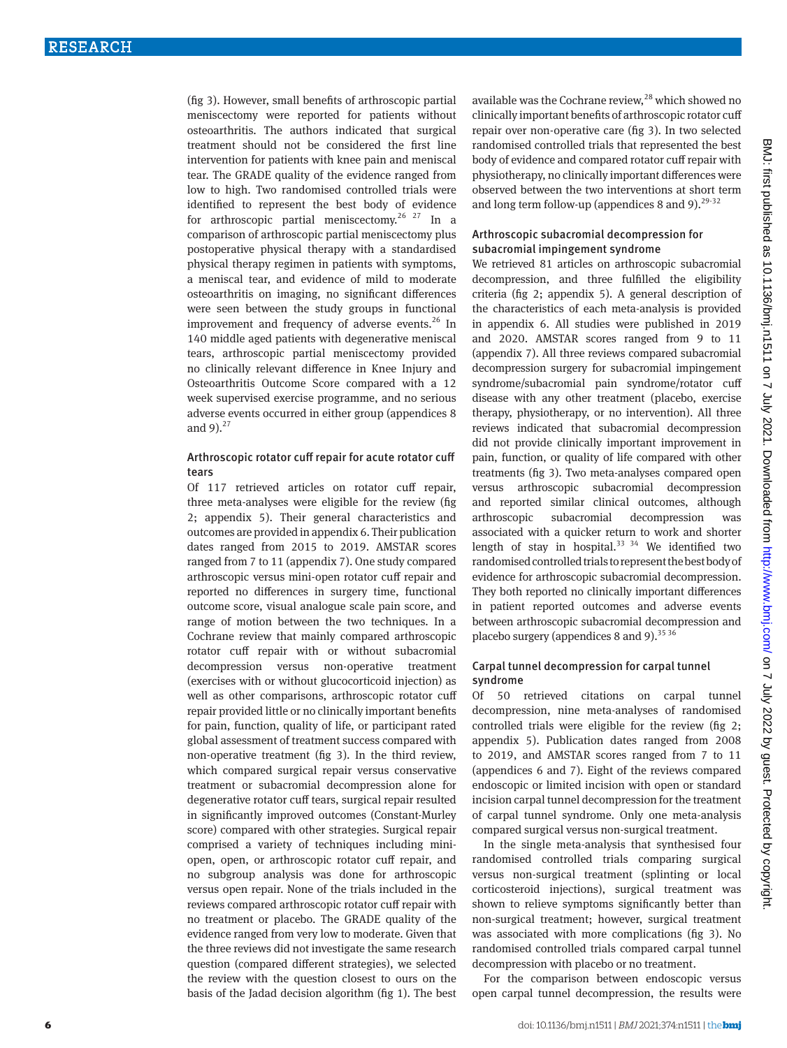(fig 3). However, small benefits of arthroscopic partial meniscectomy were reported for patients without osteoarthritis. The authors indicated that surgical treatment should not be considered the first line intervention for patients with knee pain and meniscal tear. The GRADE quality of the evidence ranged from low to high. Two randomised controlled trials were identified to represent the best body of evidence for arthroscopic partial meniscectomy.<sup>26 27</sup> In a comparison of arthroscopic partial meniscectomy plus postoperative physical therapy with a standardised physical therapy regimen in patients with symptoms, a meniscal tear, and evidence of mild to moderate osteoarthritis on imaging, no significant differences were seen between the study groups in functional improvement and frequency of adverse events. $^{26}$  In 140 middle aged patients with degenerative meniscal tears, arthroscopic partial meniscectomy provided no clinically relevant difference in Knee Injury and Osteoarthritis Outcome Score compared with a 12 week supervised exercise programme, and no serious adverse events occurred in either group (appendices 8 and 9). $^{27}$ 

## Arthroscopic rotator cuff repair for acute rotator cuff tears

Of 117 retrieved articles on rotator cuff repair, three meta-analyses were eligible for the review (fig 2; appendix 5). Their general characteristics and outcomes are provided in appendix 6. Their publication dates ranged from 2015 to 2019. AMSTAR scores ranged from 7 to 11 (appendix 7). One study compared arthroscopic versus mini-open rotator cuff repair and reported no differences in surgery time, functional outcome score, visual analogue scale pain score, and range of motion between the two techniques. In a Cochrane review that mainly compared arthroscopic rotator cuff repair with or without subacromial decompression versus non-operative treatment (exercises with or without glucocorticoid injection) as well as other comparisons, arthroscopic rotator cuff repair provided little or no clinically important benefits for pain, function, quality of life, or participant rated global assessment of treatment success compared with non-operative treatment (fig 3). In the third review, which compared surgical repair versus conservative treatment or subacromial decompression alone for degenerative rotator cuff tears, surgical repair resulted in significantly improved outcomes (Constant-Murley score) compared with other strategies. Surgical repair comprised a variety of techniques including miniopen, open, or arthroscopic rotator cuff repair, and no subgroup analysis was done for arthroscopic versus open repair. None of the trials included in the reviews compared arthroscopic rotator cuff repair with no treatment or placebo. The GRADE quality of the evidence ranged from very low to moderate. Given that the three reviews did not investigate the same research question (compared different strategies), we selected the review with the question closest to ours on the basis of the Jadad decision algorithm (fig 1). The best

available was the Cochrane review,<sup>28</sup> which showed no clinically important benefits of arthroscopic rotator cuff repair over non-operative care (fig 3). In two selected randomised controlled trials that represented the best body of evidence and compared rotator cuff repair with physiotherapy, no clinically important differences were observed between the two interventions at short term and long term follow-up (appendices 8 and 9). $29-32$ 

## Arthroscopic subacromial decompression for subacromial impingement syndrome

We retrieved 81 articles on arthroscopic subacromial decompression, and three fulfilled the eligibility criteria (fig 2; appendix 5). A general description of the characteristics of each meta-analysis is provided in appendix 6. All studies were published in 2019 and 2020. AMSTAR scores ranged from 9 to 11 (appendix 7). All three reviews compared subacromial decompression surgery for subacromial impingement syndrome/subacromial pain syndrome/rotator cuff disease with any other treatment (placebo, exercise therapy, physiotherapy, or no intervention). All three reviews indicated that subacromial decompression did not provide clinically important improvement in pain, function, or quality of life compared with other treatments (fig 3). Two meta-analyses compared open versus arthroscopic subacromial decompression and reported similar clinical outcomes, although arthroscopic subacromial decompression was associated with a quicker return to work and shorter length of stay in hospital. $33 \frac{34}{1}$  We identified two randomised controlled trials to represent the best body of evidence for arthroscopic subacromial decompression. They both reported no clinically important differences in patient reported outcomes and adverse events between arthroscopic subacromial decompression and placebo surgery (appendices 8 and 9). $^{35\,36}$ 

## Carpal tunnel decompression for carpal tunnel syndrome

Of 50 retrieved citations on carpal tunnel decompression, nine meta-analyses of randomised controlled trials were eligible for the review (fig 2; appendix 5). Publication dates ranged from 2008 to 2019, and AMSTAR scores ranged from 7 to 11 (appendices 6 and 7). Eight of the reviews compared endoscopic or limited incision with open or standard incision carpal tunnel decompression for the treatment of carpal tunnel syndrome. Only one meta-analysis compared surgical versus non-surgical treatment.

In the single meta-analysis that synthesised four randomised controlled trials comparing surgical versus non-surgical treatment (splinting or local corticosteroid injections), surgical treatment was shown to relieve symptoms significantly better than non-surgical treatment; however, surgical treatment was associated with more complications (fig 3). No randomised controlled trials compared carpal tunnel decompression with placebo or no treatment.

For the comparison between endoscopic versus open carpal tunnel decompression, the results were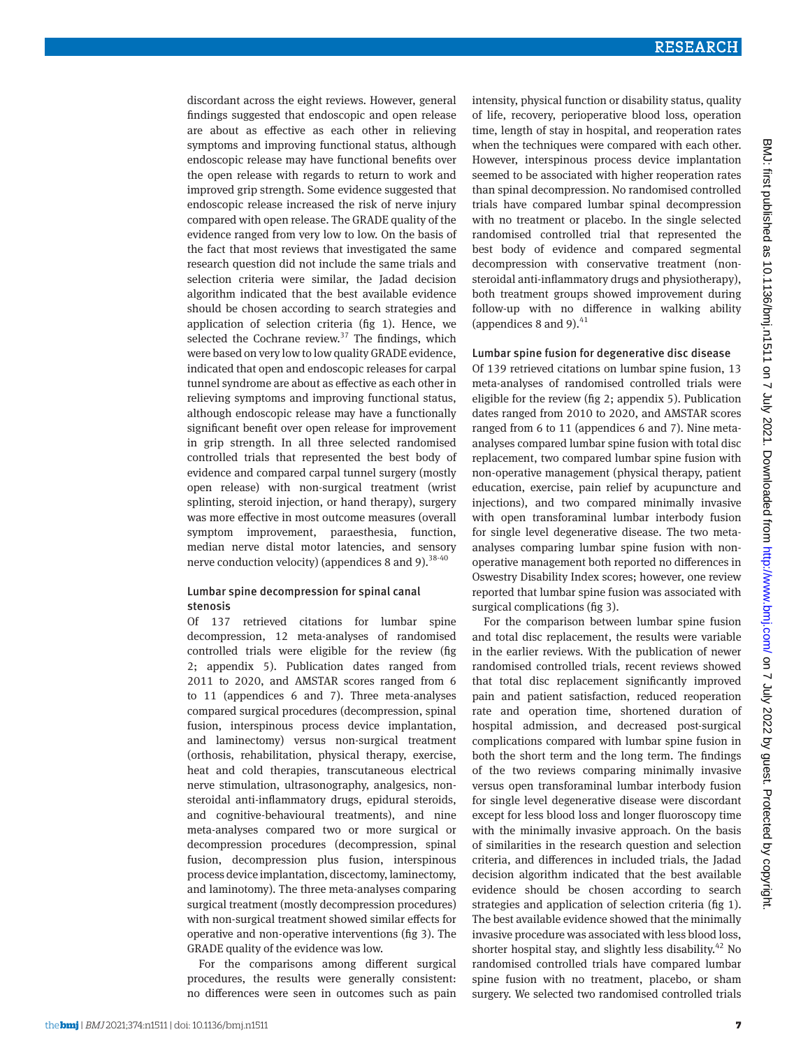discordant across the eight reviews. However, general findings suggested that endoscopic and open release are about as effective as each other in relieving symptoms and improving functional status, although endoscopic release may have functional benefits over the open release with regards to return to work and improved grip strength. Some evidence suggested that endoscopic release increased the risk of nerve injury compared with open release. The GRADE quality of the evidence ranged from very low to low. On the basis of the fact that most reviews that investigated the same research question did not include the same trials and selection criteria were similar, the Jadad decision algorithm indicated that the best available evidence should be chosen according to search strategies and application of selection criteria (fig 1). Hence, we selected the Cochrane review. $37$  The findings, which were based on very low to low quality GRADE evidence, indicated that open and endoscopic releases for carpal tunnel syndrome are about as effective as each other in relieving symptoms and improving functional status, although endoscopic release may have a functionally significant benefit over open release for improvement in grip strength. In all three selected randomised controlled trials that represented the best body of evidence and compared carpal tunnel surgery (mostly open release) with non-surgical treatment (wrist splinting, steroid injection, or hand therapy), surgery was more effective in most outcome measures (overall symptom improvement, paraesthesia, function, median nerve distal motor latencies, and sensory nerve conduction velocity) (appendices 8 and 9).  $38-40$ 

#### Lumbar spine decompression for spinal canal stenosis

Of 137 retrieved citations for lumbar spine decompression, 12 meta-analyses of randomised controlled trials were eligible for the review (fig 2; appendix 5). Publication dates ranged from 2011 to 2020, and AMSTAR scores ranged from 6 to 11 (appendices 6 and 7). Three meta-analyses compared surgical procedures (decompression, spinal fusion, interspinous process device implantation, and laminectomy) versus non-surgical treatment (orthosis, rehabilitation, physical therapy, exercise, heat and cold therapies, transcutaneous electrical nerve stimulation, ultrasonography, analgesics, nonsteroidal anti-inflammatory drugs, epidural steroids, and cognitive-behavioural treatments), and nine meta-analyses compared two or more surgical or decompression procedures (decompression, spinal fusion, decompression plus fusion, interspinous process device implantation, discectomy, laminectomy, and laminotomy). The three meta-analyses comparing surgical treatment (mostly decompression procedures) with non-surgical treatment showed similar effects for operative and non-operative interventions (fig 3). The GRADE quality of the evidence was low.

For the comparisons among different surgical procedures, the results were generally consistent: no differences were seen in outcomes such as pain intensity, physical function or disability status, quality of life, recovery, perioperative blood loss, operation time, length of stay in hospital, and reoperation rates when the techniques were compared with each other. However, interspinous process device implantation seemed to be associated with higher reoperation rates than spinal decompression. No randomised controlled trials have compared lumbar spinal decompression with no treatment or placebo. In the single selected randomised controlled trial that represented the best body of evidence and compared segmental decompression with conservative treatment (nonsteroidal anti-inflammatory drugs and physiotherapy), both treatment groups showed improvement during follow-up with no difference in walking ability (appendices 8 and 9). $41$ 

#### Lumbar spine fusion for degenerative disc disease

Of 139 retrieved citations on lumbar spine fusion, 13 meta-analyses of randomised controlled trials were eligible for the review (fig 2; appendix 5). Publication dates ranged from 2010 to 2020, and AMSTAR scores ranged from 6 to 11 (appendices 6 and 7). Nine metaanalyses compared lumbar spine fusion with total disc replacement, two compared lumbar spine fusion with non-operative management (physical therapy, patient education, exercise, pain relief by acupuncture and injections), and two compared minimally invasive with open transforaminal lumbar interbody fusion for single level degenerative disease. The two metaanalyses comparing lumbar spine fusion with nonoperative management both reported no differences in Oswestry Disability Index scores; however, one review reported that lumbar spine fusion was associated with surgical complications (fig 3).

For the comparison between lumbar spine fusion and total disc replacement, the results were variable in the earlier reviews. With the publication of newer randomised controlled trials, recent reviews showed that total disc replacement significantly improved pain and patient satisfaction, reduced reoperation rate and operation time, shortened duration of hospital admission, and decreased post-surgical complications compared with lumbar spine fusion in both the short term and the long term. The findings of the two reviews comparing minimally invasive versus open transforaminal lumbar interbody fusion for single level degenerative disease were discordant except for less blood loss and longer fluoroscopy time with the minimally invasive approach. On the basis of similarities in the research question and selection criteria, and differences in included trials, the Jadad decision algorithm indicated that the best available evidence should be chosen according to search strategies and application of selection criteria (fig 1). The best available evidence showed that the minimally invasive procedure was associated with less blood loss, shorter hospital stay, and slightly less disability.<sup>42</sup> No randomised controlled trials have compared lumbar spine fusion with no treatment, placebo, or sham surgery. We selected two randomised controlled trials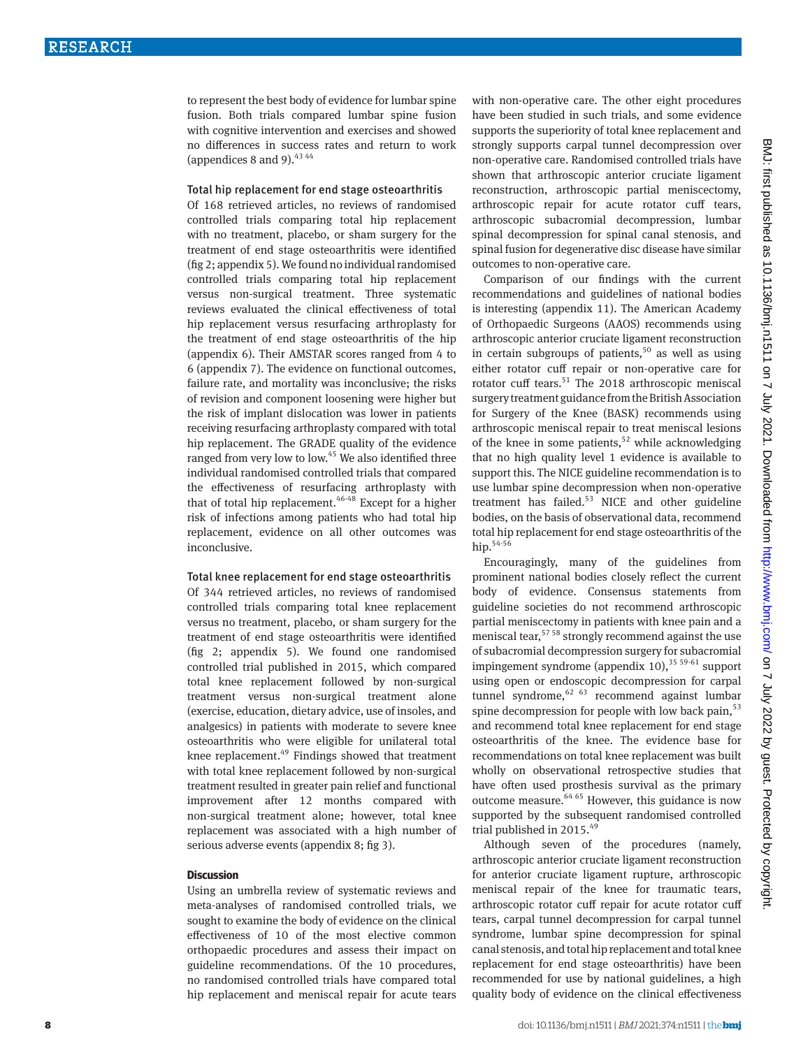to represent the best body of evidence for lumbar spine fusion. Both trials compared lumbar spine fusion with cognitive intervention and exercises and showed no differences in success rates and return to work (appendices 8 and 9).  $43\,44$ 

#### Total hip replacement for end stage osteoarthritis

Of 168 retrieved articles, no reviews of randomised controlled trials comparing total hip replacement with no treatment, placebo, or sham surgery for the treatment of end stage osteoarthritis were identified (fig 2; appendix 5). We found no individual randomised controlled trials comparing total hip replacement versus non-surgical treatment. Three systematic reviews evaluated the clinical effectiveness of total hip replacement versus resurfacing arthroplasty for the treatment of end stage osteoarthritis of the hip (appendix 6). Their AMSTAR scores ranged from 4 to 6 (appendix 7). The evidence on functional outcomes, failure rate, and mortality was inconclusive; the risks of revision and component loosening were higher but the risk of implant dislocation was lower in patients receiving resurfacing arthroplasty compared with total hip replacement. The GRADE quality of the evidence ranged from very low to low.45 We also identified three individual randomised controlled trials that compared the effectiveness of resurfacing arthroplasty with that of total hip replacement.<sup>46-48</sup> Except for a higher risk of infections among patients who had total hip replacement, evidence on all other outcomes was inconclusive.

#### Total knee replacement for end stage osteoarthritis

Of 344 retrieved articles, no reviews of randomised controlled trials comparing total knee replacement versus no treatment, placebo, or sham surgery for the treatment of end stage osteoarthritis were identified (fig 2; appendix 5). We found one randomised controlled trial published in 2015, which compared total knee replacement followed by non-surgical treatment versus non-surgical treatment alone (exercise, education, dietary advice, use of insoles, and analgesics) in patients with moderate to severe knee osteoarthritis who were eligible for unilateral total knee replacement.<sup>49</sup> Findings showed that treatment with total knee replacement followed by non-surgical treatment resulted in greater pain relief and functional improvement after 12 months compared with non-surgical treatment alone; however, total knee replacement was associated with a high number of serious adverse events (appendix 8; fig 3).

#### **Discussion**

Using an umbrella review of systematic reviews and meta-analyses of randomised controlled trials, we sought to examine the body of evidence on the clinical effectiveness of 10 of the most elective common orthopaedic procedures and assess their impact on guideline recommendations. Of the 10 procedures, no randomised controlled trials have compared total hip replacement and meniscal repair for acute tears with non-operative care. The other eight procedures have been studied in such trials, and some evidence supports the superiority of total knee replacement and strongly supports carpal tunnel decompression over non-operative care. Randomised controlled trials have shown that arthroscopic anterior cruciate ligament reconstruction, arthroscopic partial meniscectomy, arthroscopic repair for acute rotator cuff tears, arthroscopic subacromial decompression, lumbar spinal decompression for spinal canal stenosis, and spinal fusion for degenerative disc disease have similar outcomes to non-operative care.

Comparison of our findings with the current recommendations and guidelines of national bodies is interesting (appendix 11). The American Academy of Orthopaedic Surgeons (AAOS) recommends using arthroscopic anterior cruciate ligament reconstruction in certain subgroups of patients,<sup>50</sup> as well as using either rotator cuff repair or non-operative care for rotator cuff tears.<sup>51</sup> The 2018 arthroscopic meniscal surgery treatment guidance from the British Association for Surgery of the Knee (BASK) recommends using arthroscopic meniscal repair to treat meniscal lesions of the knee in some patients,<sup>52</sup> while acknowledging that no high quality level 1 evidence is available to support this. The NICE guideline recommendation is to use lumbar spine decompression when non-operative treatment has failed.53 NICE and other guideline bodies, on the basis of observational data, recommend total hip replacement for end stage osteoarthritis of the hip.54-56

Encouragingly, many of the guidelines from prominent national bodies closely reflect the current body of evidence. Consensus statements from guideline societies do not recommend arthroscopic partial meniscectomy in patients with knee pain and a meniscal tear,  $57 58$  strongly recommend against the use of subacromial decompression surgery for subacromial impingement syndrome (appendix  $10$ ),  $35\frac{59\cdot61}{9}$  support using open or endoscopic decompression for carpal tunnel syndrome,  $62/63$  recommend against lumbar spine decompression for people with low back pain,<sup>53</sup> and recommend total knee replacement for end stage osteoarthritis of the knee. The evidence base for recommendations on total knee replacement was built wholly on observational retrospective studies that have often used prosthesis survival as the primary outcome measure. $64,65$  However, this guidance is now supported by the subsequent randomised controlled trial published in 2015.<sup>49</sup>

Although seven of the procedures (namely, arthroscopic anterior cruciate ligament reconstruction for anterior cruciate ligament rupture, arthroscopic meniscal repair of the knee for traumatic tears, arthroscopic rotator cuff repair for acute rotator cuff tears, carpal tunnel decompression for carpal tunnel syndrome, lumbar spine decompression for spinal canal stenosis, and total hip replacement and total knee replacement for end stage osteoarthritis) have been recommended for use by national guidelines, a high quality body of evidence on the clinical effectiveness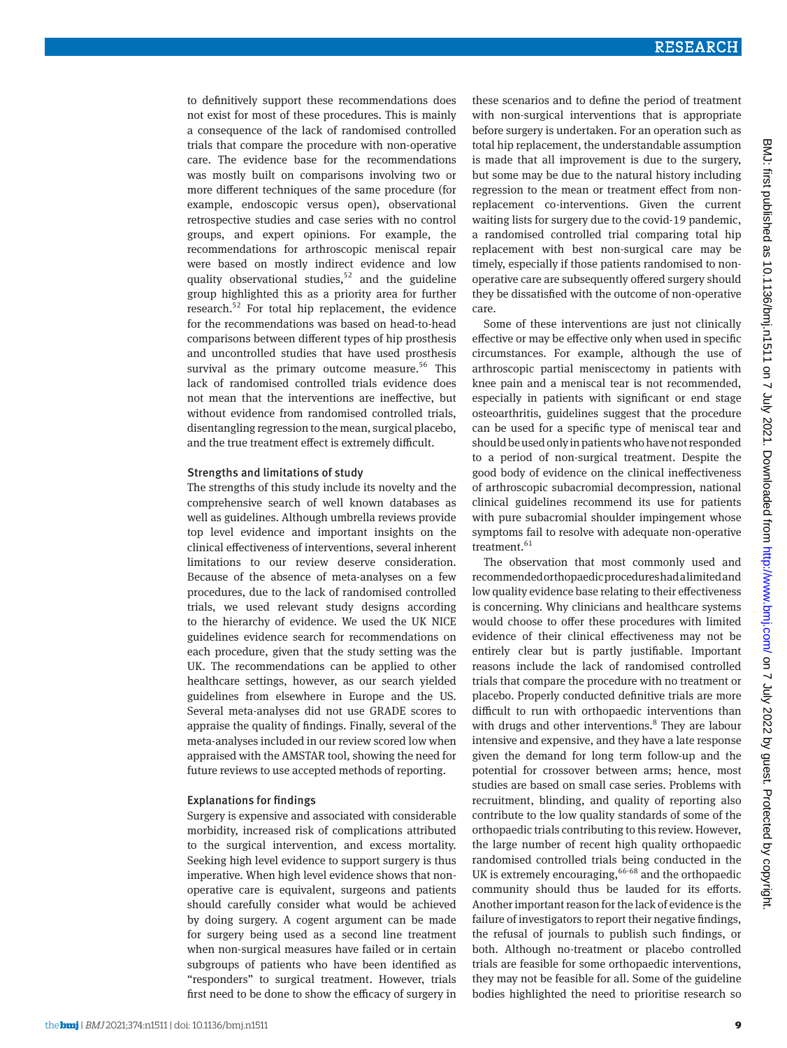to definitively support these recommendations does not exist for most of these procedures. This is mainly a consequence of the lack of randomised controlled trials that compare the procedure with non-operative care. The evidence base for the recommendations was mostly built on comparisons involving two or more different techniques of the same procedure (for example, endoscopic versus open), observational retrospective studies and case series with no control groups, and expert opinions. For example, the recommendations for arthroscopic meniscal repair were based on mostly indirect evidence and low quality observational studies, $52$  and the guideline group highlighted this as a priority area for further research.52 For total hip replacement, the evidence for the recommendations was based on head-to-head comparisons between different types of hip prosthesis and uncontrolled studies that have used prosthesis survival as the primary outcome measure.<sup>56</sup> This lack of randomised controlled trials evidence does not mean that the interventions are ineffective, but without evidence from randomised controlled trials, disentangling regression to the mean, surgical placebo, and the true treatment effect is extremely difficult.

#### Strengths and limitations of study

The strengths of this study include its novelty and the comprehensive search of well known databases as well as guidelines. Although umbrella reviews provide top level evidence and important insights on the clinical effectiveness of interventions, several inherent limitations to our review deserve consideration. Because of the absence of meta-analyses on a few procedures, due to the lack of randomised controlled trials, we used relevant study designs according to the hierarchy of evidence. We used the UK NICE guidelines evidence search for recommendations on each procedure, given that the study setting was the UK. The recommendations can be applied to other healthcare settings, however, as our search yielded guidelines from elsewhere in Europe and the US. Several meta-analyses did not use GRADE scores to appraise the quality of findings. Finally, several of the meta-analyses included in our review scored low when appraised with the AMSTAR tool, showing the need for future reviews to use accepted methods of reporting.

#### Explanations for findings

Surgery is expensive and associated with considerable morbidity, increased risk of complications attributed to the surgical intervention, and excess mortality. Seeking high level evidence to support surgery is thus imperative. When high level evidence shows that nonoperative care is equivalent, surgeons and patients should carefully consider what would be achieved by doing surgery. A cogent argument can be made for surgery being used as a second line treatment when non-surgical measures have failed or in certain subgroups of patients who have been identified as "responders" to surgical treatment. However, trials first need to be done to show the efficacy of surgery in

these scenarios and to define the period of treatment with non-surgical interventions that is appropriate before surgery is undertaken. For an operation such as total hip replacement, the understandable assumption is made that all improvement is due to the surgery, but some may be due to the natural history including regression to the mean or treatment effect from nonreplacement co-interventions. Given the current waiting lists for surgery due to the covid-19 pandemic, a randomised controlled trial comparing total hip replacement with best non-surgical care may be timely, especially if those patients randomised to nonoperative care are subsequently offered surgery should they be dissatisfied with the outcome of non-operative care.

Some of these interventions are just not clinically effective or may be effective only when used in specific circumstances. For example, although the use of arthroscopic partial meniscectomy in patients with knee pain and a meniscal tear is not recommended, especially in patients with significant or end stage osteoarthritis, guidelines suggest that the procedure can be used for a specific type of meniscal tear and should be used only in patients who have not responded to a period of non-surgical treatment. Despite the good body of evidence on the clinical ineffectiveness of arthroscopic subacromial decompression, national clinical guidelines recommend its use for patients with pure subacromial shoulder impingement whose symptoms fail to resolve with adequate non-operative treatment. $61$ 

The observation that most commonly used and recommended orthopaedic procedures had a limited and low quality evidence base relating to their effectiveness is concerning. Why clinicians and healthcare systems would choose to offer these procedures with limited evidence of their clinical effectiveness may not be entirely clear but is partly justifiable. Important reasons include the lack of randomised controlled trials that compare the procedure with no treatment or placebo. Properly conducted definitive trials are more difficult to run with orthopaedic interventions than with drugs and other interventions.<sup>8</sup> They are labour intensive and expensive, and they have a late response given the demand for long term follow-up and the potential for crossover between arms; hence, most studies are based on small case series. Problems with recruitment, blinding, and quality of reporting also contribute to the low quality standards of some of the orthopaedic trials contributing to this review. However, the large number of recent high quality orthopaedic randomised controlled trials being conducted in the UK is extremely encouraging,  $66-68$  and the orthopaedic community should thus be lauded for its efforts. Another important reason for the lack of evidence is the failure of investigators to report their negative findings, the refusal of journals to publish such findings, or both. Although no-treatment or placebo controlled trials are feasible for some orthopaedic interventions, they may not be feasible for all. Some of the guideline bodies highlighted the need to prioritise research so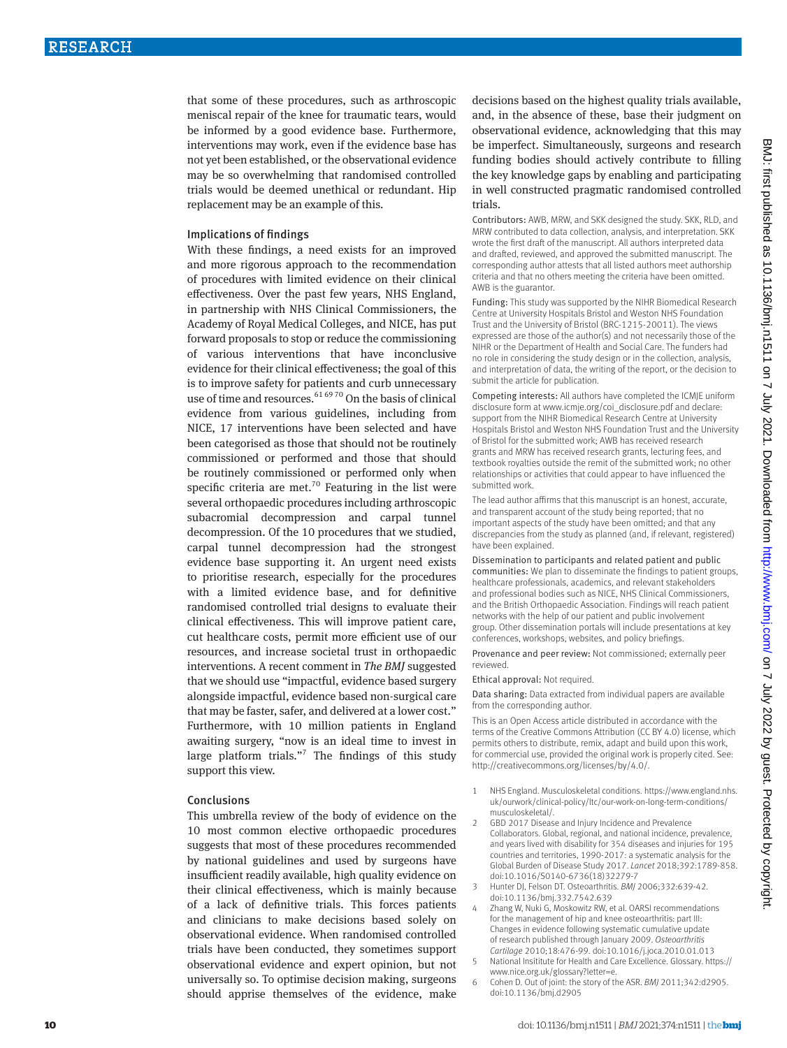that some of these procedures, such as arthroscopic meniscal repair of the knee for traumatic tears, would be informed by a good evidence base. Furthermore, interventions may work, even if the evidence base has not yet been established, or the observational evidence may be so overwhelming that randomised controlled trials would be deemed unethical or redundant. Hip replacement may be an example of this.

#### Implications of findings

With these findings, a need exists for an improved and more rigorous approach to the recommendation of procedures with limited evidence on their clinical effectiveness. Over the past few years, NHS England, in partnership with NHS Clinical Commissioners, the Academy of Royal Medical Colleges, and NICE, has put forward proposals to stop or reduce the commissioning of various interventions that have inconclusive evidence for their clinical effectiveness; the goal of this is to improve safety for patients and curb unnecessary use of time and resources.<sup>61 6970</sup> On the basis of clinical evidence from various guidelines, including from NICE, 17 interventions have been selected and have been categorised as those that should not be routinely commissioned or performed and those that should be routinely commissioned or performed only when specific criteria are met.<sup>70</sup> Featuring in the list were several orthopaedic procedures including arthroscopic subacromial decompression and carpal tunnel decompression. Of the 10 procedures that we studied, carpal tunnel decompression had the strongest evidence base supporting it. An urgent need exists to prioritise research, especially for the procedures with a limited evidence base, and for definitive randomised controlled trial designs to evaluate their clinical effectiveness. This will improve patient care, cut healthcare costs, permit more efficient use of our resources, and increase societal trust in orthopaedic interventions. A recent comment in *The BMJ* suggested that we should use "impactful, evidence based surgery alongside impactful, evidence based non-surgical care that may be faster, safer, and delivered at a lower cost." Furthermore, with 10 million patients in England awaiting surgery, "now is an ideal time to invest in large platform trials."<sup>7</sup> The findings of this study support this view.

#### Conclusions

This umbrella review of the body of evidence on the 10 most common elective orthopaedic procedures suggests that most of these procedures recommended by national guidelines and used by surgeons have insufficient readily available, high quality evidence on their clinical effectiveness, which is mainly because of a lack of definitive trials. This forces patients and clinicians to make decisions based solely on observational evidence. When randomised controlled trials have been conducted, they sometimes support observational evidence and expert opinion, but not universally so. To optimise decision making, surgeons should apprise themselves of the evidence, make

decisions based on the highest quality trials available, and, in the absence of these, base their judgment on observational evidence, acknowledging that this may be imperfect. Simultaneously, surgeons and research funding bodies should actively contribute to filling the key knowledge gaps by enabling and participating in well constructed pragmatic randomised controlled trials.

Contributors: AWB, MRW, and SKK designed the study. SKK, RLD, and MRW contributed to data collection, analysis, and interpretation. SKK wrote the first draft of the manuscript. All authors interpreted data and drafted, reviewed, and approved the submitted manuscript. The corresponding author attests that all listed authors meet authorship criteria and that no others meeting the criteria have been omitted. AWB is the guarantor.

Funding: This study was supported by the NIHR Biomedical Research Centre at University Hospitals Bristol and Weston NHS Foundation Trust and the University of Bristol (BRC-1215-20011). The views expressed are those of the author(s) and not necessarily those of the NIHR or the Department of Health and Social Care. The funders had no role in considering the study design or in the collection, analysis, and interpretation of data, the writing of the report, or the decision to submit the article for publication.

Competing interests: All authors have completed the ICMJE uniform disclosure form at [www.icmje.org/coi\\_disclosure.pdf](http://www.icmje.org/coi_disclosure.pdf) and declare: support from the NIHR Biomedical Research Centre at University Hospitals Bristol and Weston NHS Foundation Trust and the University of Bristol for the submitted work; AWB has received research grants and MRW has received research grants, lecturing fees, and textbook royalties outside the remit of the submitted work; no other relationships or activities that could appear to have influenced the submitted work.

The lead author affirms that this manuscript is an honest, accurate, and transparent account of the study being reported; that no important aspects of the study have been omitted; and that any discrepancies from the study as planned (and, if relevant, registered) have been explained.

Dissemination to participants and related patient and public communities: We plan to disseminate the findings to patient groups, healthcare professionals, academics, and relevant stakeholders and professional bodies such as NICE, NHS Clinical Commissioners, and the British Orthopaedic Association. Findings will reach patient networks with the help of our patient and public involvement group. Other dissemination portals will include presentations at key conferences, workshops, websites, and policy briefings.

Provenance and peer review: Not commissioned; externally peer reviewed.

Ethical approval: Not required.

Data sharing: Data extracted from individual papers are available from the corresponding author.

This is an Open Access article distributed in accordance with the terms of the Creative Commons Attribution (CC BY 4.0) license, which permits others to distribute, remix, adapt and build upon this work, for commercial use, provided the original work is properly cited. See: <http://creativecommons.org/licenses/by/4.0/>.

- 1 NHS England. Musculoskeletal conditions. [https://www.england.nhs.](https://www.england.nhs.uk/ourwork/clinical-policy/ltc/our-work-on-long-term-conditions/musculoskeletal/) [uk/ourwork/clinical-policy/ltc/our-work-on-long-term-conditions/](https://www.england.nhs.uk/ourwork/clinical-policy/ltc/our-work-on-long-term-conditions/musculoskeletal/) [musculoskeletal/](https://www.england.nhs.uk/ourwork/clinical-policy/ltc/our-work-on-long-term-conditions/musculoskeletal/).
- 2 GBD 2017 Disease and Injury Incidence and Prevalence Collaborators. Global, regional, and national incidence, prevalence, and years lived with disability for 354 diseases and injuries for 195 countries and territories, 1990-2017: a systematic analysis for the Global Burden of Disease Study 2017. *Lancet* 2018;392:1789-858. doi:10.1016/S0140-6736(18)32279-7
- 3 Hunter DJ, Felson DT. Osteoarthritis. *BMJ* 2006;332:639-42. doi:10.1136/bmj.332.7542.639
- Zhang W, Nuki G, Moskowitz RW, et al. OARSI recommendations for the management of hip and knee osteoarthritis: part III: Changes in evidence following systematic cumulative update of research published through January 2009. *Osteoarthritis Cartilage* 2010;18:476-99. doi:10.1016/j.joca.2010.01.013
- 5 National Insititute for Health and Care Excellence. Glossary. [https://](https://www.nice.org.uk/glossary?letter=e) [www.nice.org.uk/glossary?letter=e.](https://www.nice.org.uk/glossary?letter=e)
- 6 Cohen D. Out of joint: the story of the ASR. *BMJ* 2011;342:d2905. doi:10.1136/bmj.d2905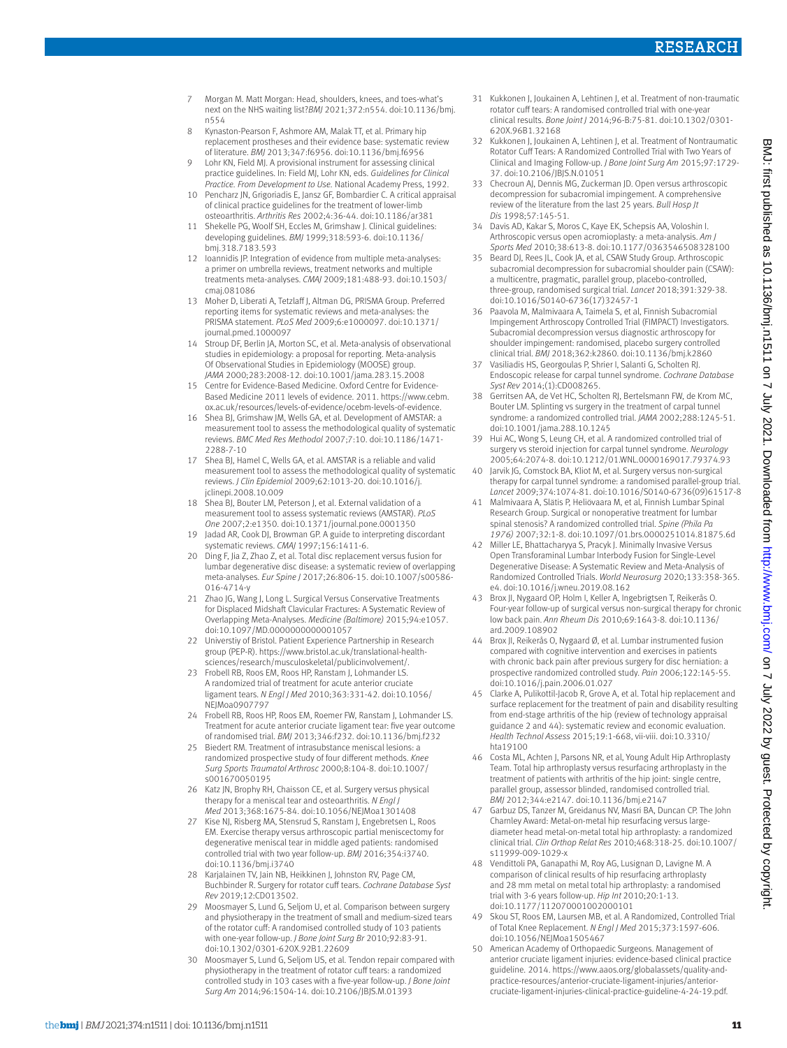- 7 Morgan M. Matt Morgan: Head, shoulders, knees, and toes-what's next on the NHS waiting list?*BMJ* 2021;372:n554. doi:10.1136/bmj. n554
- 8 Kynaston-Pearson F, Ashmore AM, Malak TT, et al. Primary hip replacement prostheses and their evidence base: systematic review of literature. *BMJ* 2013;347:f6956. doi:10.1136/bmj.f6956
- 9 Lohr KN, Field MJ. A provisional instrument for assessing clinical practice guidelines. In: Field MJ, Lohr KN, eds. *Guidelines for Clinical Practice. From Development to Use.* National Academy Press, 1992.
- 10 Pencharz JN, Grigoriadis E, Jansz GF, Bombardier C. A critical appraisal of clinical practice guidelines for the treatment of lower-limb osteoarthritis. *Arthritis Res* 2002;4:36-44. doi:10.1186/ar381
- 11 Shekelle PG, Woolf SH, Eccles M, Grimshaw J. Clinical guidelines: developing guidelines. *BMJ* 1999;318:593-6. doi:10.1136/ bmj.318.7183.593
- loannidis JP. Integration of evidence from multiple meta-analyses: a primer on umbrella reviews, treatment networks and multiple treatments meta-analyses. *CMAJ* 2009;181:488-93. doi:10.1503/ cmaj.081086
- 13 Moher D, Liberati A, Tetzlaff J, Altman DG, PRISMA Group. Preferred reporting items for systematic reviews and meta-analyses: the PRISMA statement. *PLoS Med* 2009;6:e1000097. doi:10.1371/ journal.pmed.1000097
- 14 Stroup DF, Berlin JA, Morton SC, et al. Meta-analysis of observational studies in epidemiology: a proposal for reporting. Meta-analysis Of Observational Studies in Epidemiology (MOOSE) group. *JAMA* 2000;283:2008-12. doi:10.1001/jama.283.15.2008
- 15 Centre for Evidence-Based Medicine. Oxford Centre for Evidence-Based Medicine 2011 levels of evidence. 2011. [https://www.cebm.](https://www.cebm.ox.ac.uk/resources/levels-of-evidence/ocebm-levels-of-evidence) [ox.ac.uk/resources/levels-of-evidence/ocebm-levels-of-evidence.](https://www.cebm.ox.ac.uk/resources/levels-of-evidence/ocebm-levels-of-evidence)
- 16 Shea BJ, Grimshaw JM, Wells GA, et al. Development of AMSTAR: a measurement tool to assess the methodological quality of systematic reviews. *BMC Med Res Methodol* 2007;7:10. doi:10.1186/1471- 2288-7-10
- 17 Shea BJ, Hamel C, Wells GA, et al. AMSTAR is a reliable and valid measurement tool to assess the methodological quality of systematic reviews. *J Clin Epidemiol* 2009;62:1013-20. doi:10.1016/j. jclinepi.2008.10.009
- 18 Shea BJ, Bouter LM, Peterson J, et al. External validation of a measurement tool to assess systematic reviews (AMSTAR). *PLoS One* 2007;2:e1350. doi:10.1371/journal.pone.0001350
- 19 Jadad AR, Cook DJ, Browman GP. A guide to interpreting discordant systematic reviews. *CMAJ* 1997;156:1411-6.
- 20 Ding F, Jia Z, Zhao Z, et al. Total disc replacement versus fusion for lumbar degenerative disc disease: a systematic review of overlapping meta-analyses. *Eur Spine J* 2017;26:806-15. doi:10.1007/s00586- 016-4714-y
- 21 Zhao JG, Wang J, Long L. Surgical Versus Conservative Treatments for Displaced Midshaft Clavicular Fractures: A Systematic Review of Overlapping Meta-Analyses. *Medicine (Baltimore)* 2015;94:e1057. doi:10.1097/MD.0000000000001057
- 22 Universtiy of Bristol. Patient Experience Partnership in Research group (PEP-R). [https://www.bristol.ac.uk/translational-health](https://www.bristol.ac.uk/translational-health-sciences/research/musculoskeletal/publicinvolvement/)[sciences/research/musculoskeletal/publicinvolvement/.](https://www.bristol.ac.uk/translational-health-sciences/research/musculoskeletal/publicinvolvement/)
- 23 Frobell RB, Roos FM, Roos HP, Ranstam J, Lohmander LS. A randomized trial of treatment for acute anterior cruciate ligament tears. *N Engl J Med* 2010;363:331-42. doi:10.1056/ NEJMoa0907797
- 24 Frobell RB, Roos HP, Roos EM, Roemer FW, Ranstam J, Lohmander LS. Treatment for acute anterior cruciate ligament tear: five year outcome of randomised trial. *BMJ* 2013;346:f232. doi:10.1136/bmj.f232
- Biedert RM. Treatment of intrasubstance meniscal lesions: a randomized prospective study of four different methods. *Knee Surg Sports Traumatol Arthrosc* 2000;8:104-8. doi:10.1007/ s001670050195
- Katz JN, Brophy RH, Chaisson CE, et al. Surgery versus physical therapy for a meniscal tear and osteoarthritis. *N Engl J Med* 2013;368:1675-84. doi:10.1056/NEJMoa1301408
- Kise NJ, Risberg MA, Stensrud S, Ranstam J, Engebretsen L, Roos EM. Exercise therapy versus arthroscopic partial meniscectomy for degenerative meniscal tear in middle aged patients: randomised controlled trial with two year follow-up. *BMJ* 2016;354:i3740. doi:10.1136/bmj.i3740
- 28 Karjalainen TV, Jain NB, Heikkinen J, Johnston RV, Page CM, Buchbinder R. Surgery for rotator cuff tears. *Cochrane Database Syst Rev* 2019;12:CD013502.
- 29 Moosmayer S, Lund G, Seljom U, et al. Comparison between surgery and physiotherapy in the treatment of small and medium-sized tears of the rotator cuff: A randomised controlled study of 103 patients with one-year follow-up. *J Bone Joint Surg Br* 2010;92:83-91. doi:10.1302/0301-620X.92B1.22609
- 30 Moosmayer S, Lund G, Seljom US, et al. Tendon repair compared with physiotherapy in the treatment of rotator cuff tears: a randomized controlled study in 103 cases with a five-year follow-up. *J Bone Joint Surg Am* 2014;96:1504-14. doi:10.2106/JBJS.M.01393
- 31 Kukkonen J, Joukainen A, Lehtinen J, et al. Treatment of non-traumatic rotator cuff tears: A randomised controlled trial with one-year clinical results. *Bone Joint J* 2014;96-B:75-81. doi:10.1302/0301- 620X.96B1.32168
- 32 Kukkonen J, Joukainen A, Lehtinen J, et al. Treatment of Nontraumatic Rotator Cuff Tears: A Randomized Controlled Trial with Two Years of Clinical and Imaging Follow-up. *J Bone Joint Surg Am* 2015;97:1729- 37. doi:10.2106/JBJS.N.01051
- 33 Checroun AJ, Dennis MG, Zuckerman JD. Open versus arthroscopic decompression for subacromial impingement. A comprehensive review of the literature from the last 25 years. *Bull Hosp Jt Dis* 1998;57:145-51.
- 34 Davis AD, Kakar S, Moros C, Kaye EK, Schepsis AA, Voloshin I. Arthroscopic versus open acromioplasty: a meta-analysis. *Am J Sports Med* 2010;38:613-8. doi:10.1177/0363546508328100
- Beard DJ, Rees JL, Cook JA, et al, CSAW Study Group. Arthroscopic subacromial decompression for subacromial shoulder pain (CSAW): a multicentre, pragmatic, parallel group, placebo-controlled, three-group, randomised surgical trial. *Lancet* 2018;391:329-38. doi:10.1016/S0140-6736(17)32457-1
- 36 Paavola M, Malmivaara A, Taimela S, et al, Finnish Subacromial Impingement Arthroscopy Controlled Trial (FIMPACT) Investigators. Subacromial decompression versus diagnostic arthroscopy for shoulder impingement: randomised, placebo surgery controlled clinical trial. *BMJ* 2018;362:k2860. doi:10.1136/bmj.k2860
- 37 Vasiliadis HS, Georgoulas P, Shrier I, Salanti G, Scholten RJ. Endoscopic release for carpal tunnel syndrome. *Cochrane Database Syst Rev* 2014;(1):CD008265.
- 38 Gerritsen AA, de Vet HC, Scholten RJ, Bertelsmann FW, de Krom MC, Bouter LM. Splinting vs surgery in the treatment of carpal tunnel syndrome: a randomized controlled trial. *JAMA* 2002;288:1245-51. doi:10.1001/jama.288.10.1245
- 39 Hui AC, Wong S, Leung CH, et al. A randomized controlled trial of surgery vs steroid injection for carpal tunnel syndrome. *Neurology*  2005;64:2074-8. doi:10.1212/01.WNL.0000169017.79374.93
- 40 Jarvik JG, Comstock BA, Kliot M, et al. Surgery versus non-surgical therapy for carpal tunnel syndrome: a randomised parallel-group trial. *Lancet* 2009;374:1074-81. doi:10.1016/S0140-6736(09)61517-8
- 41 Malmivaara A, Slätis P, Heliövaara M, et al, Finnish Lumbar Spinal Research Group. Surgical or nonoperative treatment for lumbar spinal stenosis? A randomized controlled trial. *Spine (Phila Pa 1976)* 2007;32:1-8. doi:10.1097/01.brs.0000251014.81875.6d
- Miller LE, Bhattacharyya S, Pracyk J. Minimally Invasive Versus Open Transforaminal Lumbar Interbody Fusion for Single-Level Degenerative Disease: A Systematic Review and Meta-Analysis of Randomized Controlled Trials. *World Neurosurg* 2020;133:358-365. e4. doi:10.1016/j.wneu.2019.08.162
- 43 Brox JI, Nygaard OP, Holm I, Keller A, Ingebrigtsen T, Reikerås O. Four-year follow-up of surgical versus non-surgical therapy for chronic low back pain. *Ann Rheum Dis* 2010;69:1643-8. doi:10.1136/ ard.2009.108902
- 44 Brox JI, Reikerås O, Nygaard Ø, et al. Lumbar instrumented fusion compared with cognitive intervention and exercises in patients with chronic back pain after previous surgery for disc herniation: a prospective randomized controlled study. *Pain* 2006;122:145-55. doi:10.1016/j.pain.2006.01.027
- 45 Clarke A, Pulikottil-Jacob R, Grove A, et al. Total hip replacement and surface replacement for the treatment of pain and disability resulting from end-stage arthritis of the hip (review of technology appraisal guidance 2 and 44): systematic review and economic evaluation. *Health Technol Assess* 2015;19:1-668, vii-viii. doi:10.3310/ hta19100
- 46 Costa ML, Achten J, Parsons NR, et al, Young Adult Hip Arthroplasty Team. Total hip arthroplasty versus resurfacing arthroplasty in the treatment of patients with arthritis of the hip joint: single centre, parallel group, assessor blinded, randomised controlled trial. *BMJ* 2012;344:e2147. doi:10.1136/bmj.e2147
- Garbuz DS, Tanzer M, Greidanus NV, Masri BA, Duncan CP. The John Charnley Award: Metal-on-metal hip resurfacing versus largediameter head metal-on-metal total hip arthroplasty: a randomized clinical trial. *Clin Orthop Relat Res* 2010;468:318-25. doi:10.1007/ s11999-009-1029-x
- 48 Vendittoli PA, Ganapathi M, Roy AG, Lusignan D, Lavigne M. A comparison of clinical results of hip resurfacing arthroplasty and 28 mm metal on metal total hip arthroplasty: a randomised trial with 3-6 years follow-up. *Hip Int* 2010;20:1-13. doi:10.1177/112070001002000101
- 49 Skou ST, Roos EM, Laursen MB, et al. A Randomized, Controlled Trial of Total Knee Replacement. *N Engl J Med* 2015;373:1597-606. doi:10.1056/NEJMoa1505467
- 50 American Academy of Orthopaedic Surgeons. Management of anterior cruciate ligament injuries: evidence-based clinical practice guideline. 2014. [https://www.aaos.org/globalassets/quality-and](https://www.aaos.org/globalassets/quality-and-practice-resources/anterior-cruciate-ligament-injuries/anterior-cruciate-ligament-injuries-clinical-practice-guideline-4-24-19.pdf)[practice-resources/anterior-cruciate-ligament-injuries/anterior](https://www.aaos.org/globalassets/quality-and-practice-resources/anterior-cruciate-ligament-injuries/anterior-cruciate-ligament-injuries-clinical-practice-guideline-4-24-19.pdf)[cruciate-ligament-injuries-clinical-practice-guideline-4-24-19.pdf.](https://www.aaos.org/globalassets/quality-and-practice-resources/anterior-cruciate-ligament-injuries/anterior-cruciate-ligament-injuries-clinical-practice-guideline-4-24-19.pdf)